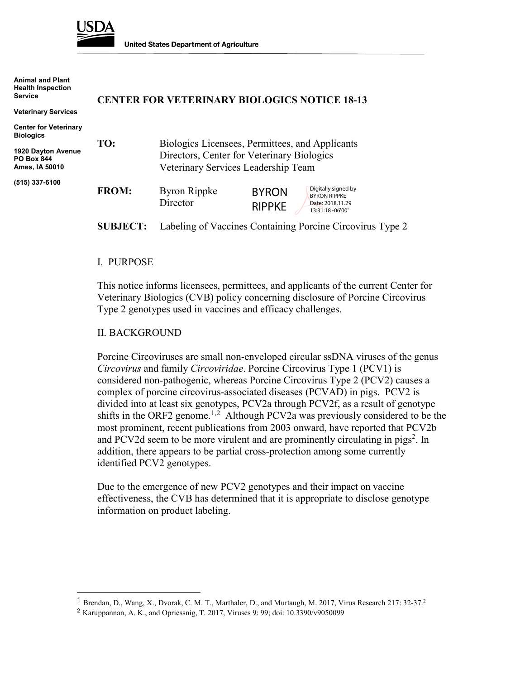

**United States Department of Agriculture** 

**Animal and Plant Health Inspection Service**

**Veterinary Services**

#### **CENTER FOR VETERINARY BIOLOGICS NOTICE 18-13**

| <b>Center for Veterinary</b><br><b>Biologics</b><br><b>1920 Dayton Avenue</b><br><b>PO Box 844</b><br>Ames, IA 50010 | TO:          | Directors, Center for Veterinary Biologics<br>Veterinary Services Leadership Team | Biologics Licensees, Permittees, and Applicants                                                                      |  |
|----------------------------------------------------------------------------------------------------------------------|--------------|-----------------------------------------------------------------------------------|----------------------------------------------------------------------------------------------------------------------|--|
| (515) 337-6100                                                                                                       | <b>FROM:</b> | <b>Byron Rippke</b><br>Director                                                   | Digitally signed by<br><b>BYRON</b><br><b>BYRON RIPPKE</b><br>Date: 2018.11.29<br><b>RIPPKE</b><br>13:31:18 - 06'00' |  |

**SUBJECT:** Labeling of Vaccines Containing Porcine Circovirus Type 2

#### I. PURPOSE

This notice informs licensees, permittees, and applicants of the current Center for Veterinary Biologics (CVB) policy concerning disclosure of Porcine Circovirus Type 2 genotypes used in vaccines and efficacy challenges.

#### II. BACKGROUND

Porcine Circoviruses are small non-enveloped circular ssDNA viruses of the genus *Circovirus* and family *Circoviridae*. Porcine Circovirus Type 1 (PCV1) is considered non-pathogenic, whereas Porcine Circovirus Type 2 (PCV2) causes a complex of porcine circovirus-associated diseases (PCVAD) in pigs. PCV2 is divided into at least six genotypes, PCV2a through PCV2f, as a result of genotype shifts in the ORF2 genome.<sup>[1](#page-0-0),[2](#page-0-1)</sup> Although PCV2a was previously considered to be the most prominent, recent publications from 2003 onward, have reported that PCV2b and PCV2d seem to be more virulent and are prominently circulating in pigs<sup>2</sup>. In addition, there appears to be partial cross-protection among some currently identified PCV2 genotypes.

Due to the emergence of new PCV2 genotypes and their impact on vaccine effectiveness, the CVB has determined that it is appropriate to disclose genotype information on product labeling.

<span id="page-0-0"></span><sup>&</sup>lt;sup>1</sup> Brendan, D., Wang, X., Dvorak, C. M. T., Marthaler, D., and Murtaugh, M. 2017, Virus Research 217: 32-37.<sup>2</sup>

<span id="page-0-1"></span><sup>2</sup> Karuppannan, A. K., and Opriessnig, T. 2017, Viruses 9: 99; doi: 10.3390/v9050099